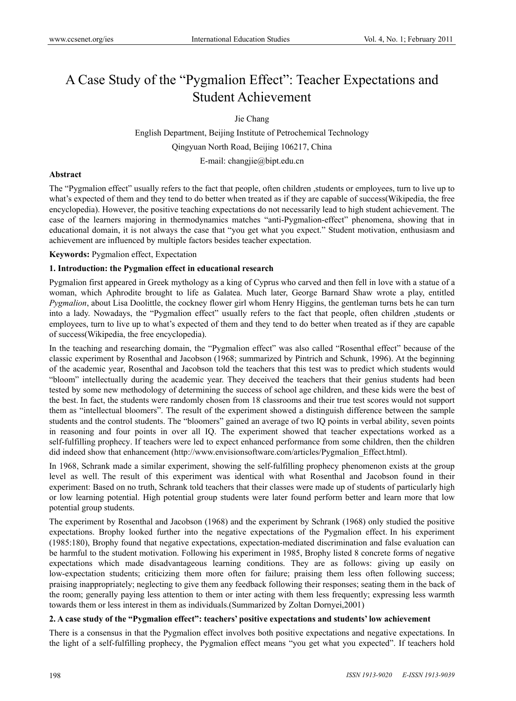# A Case Study of the "Pygmalion Effect": Teacher Expectations and Student Achievement

Jie Chang

English Department, Beijing Institute of Petrochemical Technology Qingyuan North Road, Beijing 106217, China E-mail: changjie@bipt.edu.cn

#### **Abstract**

The "Pygmalion effect" usually refers to the fact that people, often children ,students or employees, turn to live up to what's expected of them and they tend to do better when treated as if they are capable of success(Wikipedia, the free encyclopedia). However, the positive teaching expectations do not necessarily lead to high student achievement. The case of the learners majoring in thermodynamics matches "anti-Pygmalion-effect" phenomena, showing that in educational domain, it is not always the case that "you get what you expect." Student motivation, enthusiasm and achievement are influenced by multiple factors besides teacher expectation.

# **Keywords:** Pygmalion effect, Expectation

# **1. Introduction: the Pygmalion effect in educational research**

Pygmalion first appeared in Greek mythology as a king of Cyprus who carved and then fell in love with a statue of a woman, which Aphrodite brought to life as Galatea. Much later, George Barnard Shaw wrote a play, entitled *Pygmalion*, about Lisa Doolittle, the cockney flower girl whom Henry Higgins, the gentleman turns bets he can turn into a lady. Nowadays, the "Pygmalion effect" usually refers to the fact that people, often children ,students or employees, turn to live up to what's expected of them and they tend to do better when treated as if they are capable of success(Wikipedia, the free encyclopedia).

In the teaching and researching domain, the "Pygmalion effect" was also called "Rosenthal effect" because of the classic experiment by Rosenthal and Jacobson (1968; summarized by Pintrich and Schunk, 1996). At the beginning of the academic year, Rosenthal and Jacobson told the teachers that this test was to predict which students would "bloom" intellectually during the academic year. They deceived the teachers that their genius students had been tested by some new methodology of determining the success of school age children, and these kids were the best of the best. In fact, the students were randomly chosen from 18 classrooms and their true test scores would not support them as "intellectual bloomers". The result of the experiment showed a distinguish difference between the sample students and the control students. The "bloomers" gained an average of two IQ points in verbal ability, seven points in reasoning and four points in over all IQ. The experiment showed that teacher expectations worked as a self-fulfilling prophecy. If teachers were led to expect enhanced performance from some children, then the children did indeed show that enhancement (http://www.envisionsoftware.com/articles/Pygmalion\_Effect.html).

In 1968, Schrank made a similar experiment, showing the self-fulfilling prophecy phenomenon exists at the group level as well. The result of this experiment was identical with what Rosenthal and Jacobson found in their experiment: Based on no truth, Schrank told teachers that their classes were made up of students of particularly high or low learning potential. High potential group students were later found perform better and learn more that low potential group students.

The experiment by Rosenthal and Jacobson (1968) and the experiment by Schrank (1968) only studied the positive expectations. Brophy looked further into the negative expectations of the Pygmalion effect. In his experiment (1985:180), Brophy found that negative expectations, expectation-mediated discrimination and false evaluation can be harmful to the student motivation. Following his experiment in 1985, Brophy listed 8 concrete forms of negative expectations which made disadvantageous learning conditions. They are as follows: giving up easily on low-expectation students; criticizing them more often for failure; praising them less often following success; praising inappropriately; neglecting to give them any feedback following their responses; seating them in the back of the room; generally paying less attention to them or inter acting with them less frequently; expressing less warmth towards them or less interest in them as individuals.(Summarized by Zoltan Dornyei,2001)

# **2. A case study of the "Pygmalion effect": teachers' positive expectations and students' low achievement**

There is a consensus in that the Pygmalion effect involves both positive expectations and negative expectations. In the light of a self-fulfilling prophecy, the Pygmalion effect means "you get what you expected". If teachers hold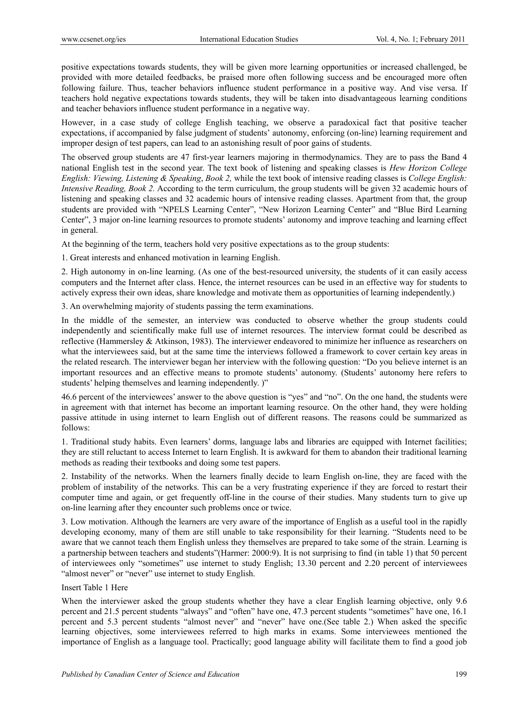positive expectations towards students, they will be given more learning opportunities or increased challenged, be provided with more detailed feedbacks, be praised more often following success and be encouraged more often following failure. Thus, teacher behaviors influence student performance in a positive way. And vise versa. If teachers hold negative expectations towards students, they will be taken into disadvantageous learning conditions and teacher behaviors influence student performance in a negative way.

However, in a case study of college English teaching, we observe a paradoxical fact that positive teacher expectations, if accompanied by false judgment of students' autonomy, enforcing (on-line) learning requirement and improper design of test papers, can lead to an astonishing result of poor gains of students.

The observed group students are 47 first-year learners majoring in thermodynamics. They are to pass the Band 4 national English test in the second year. The text book of listening and speaking classes is *Hew Horizon College English: Viewing, Listening & Speaking*, *Book 2,* while the text book of intensive reading classes is *College English: Intensive Reading, Book 2.* According to the term curriculum, the group students will be given 32 academic hours of listening and speaking classes and 32 academic hours of intensive reading classes. Apartment from that, the group students are provided with "NPELS Learning Center", "New Horizon Learning Center" and "Blue Bird Learning Center", 3 major on-line learning resources to promote students' autonomy and improve teaching and learning effect in general.

At the beginning of the term, teachers hold very positive expectations as to the group students:

1. Great interests and enhanced motivation in learning English.

2. High autonomy in on-line learning. (As one of the best-resourced university, the students of it can easily access computers and the Internet after class. Hence, the internet resources can be used in an effective way for students to actively express their own ideas, share knowledge and motivate them as opportunities of learning independently.)

3. An overwhelming majority of students passing the term examinations.

In the middle of the semester, an interview was conducted to observe whether the group students could independently and scientifically make full use of internet resources. The interview format could be described as reflective (Hammersley & Atkinson, 1983). The interviewer endeavored to minimize her influence as researchers on what the interviewees said, but at the same time the interviews followed a framework to cover certain key areas in the related research. The interviewer began her interview with the following question: "Do you believe internet is an important resources and an effective means to promote students' autonomy. (Students' autonomy here refers to students' helping themselves and learning independently. )"

46.6 percent of the interviewees' answer to the above question is "yes" and "no". On the one hand, the students were in agreement with that internet has become an important learning resource. On the other hand, they were holding passive attitude in using internet to learn English out of different reasons. The reasons could be summarized as follows:

1. Traditional study habits. Even learners' dorms, language labs and libraries are equipped with Internet facilities; they are still reluctant to access Internet to learn English. It is awkward for them to abandon their traditional learning methods as reading their textbooks and doing some test papers.

2. Instability of the networks. When the learners finally decide to learn English on-line, they are faced with the problem of instability of the networks. This can be a very frustrating experience if they are forced to restart their computer time and again, or get frequently off-line in the course of their studies. Many students turn to give up on-line learning after they encounter such problems once or twice.

3. Low motivation. Although the learners are very aware of the importance of English as a useful tool in the rapidly developing economy, many of them are still unable to take responsibility for their learning. "Students need to be aware that we cannot teach them English unless they themselves are prepared to take some of the strain. Learning is a partnership between teachers and students"(Harmer: 2000:9). It is not surprising to find (in table 1) that 50 percent of interviewees only "sometimes" use internet to study English; 13.30 percent and 2.20 percent of interviewees "almost never" or "never" use internet to study English.

# Insert Table 1 Here

When the interviewer asked the group students whether they have a clear English learning objective, only 9.6 percent and 21.5 percent students "always" and "often" have one, 47.3 percent students "sometimes" have one, 16.1 percent and 5.3 percent students "almost never" and "never" have one.(See table 2.) When asked the specific learning objectives, some interviewees referred to high marks in exams. Some interviewees mentioned the importance of English as a language tool. Practically; good language ability will facilitate them to find a good job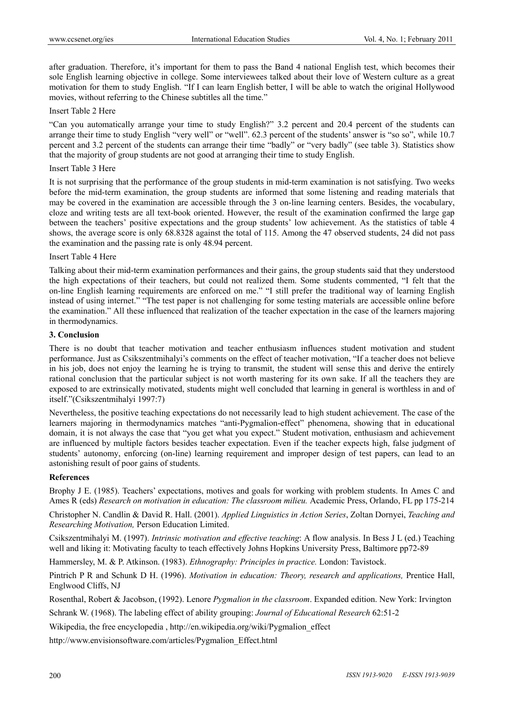after graduation. Therefore, it's important for them to pass the Band 4 national English test, which becomes their sole English learning objective in college. Some interviewees talked about their love of Western culture as a great motivation for them to study English. "If I can learn English better, I will be able to watch the original Hollywood movies, without referring to the Chinese subtitles all the time."

#### Insert Table 2 Here

"Can you automatically arrange your time to study English?" 3.2 percent and 20.4 percent of the students can arrange their time to study English "very well" or "well". 62.3 percent of the students' answer is "so so", while 10.7 percent and 3.2 percent of the students can arrange their time "badly" or "very badly" (see table 3). Statistics show that the majority of group students are not good at arranging their time to study English.

#### Insert Table 3 Here

It is not surprising that the performance of the group students in mid-term examination is not satisfying. Two weeks before the mid-term examination, the group students are informed that some listening and reading materials that may be covered in the examination are accessible through the 3 on-line learning centers. Besides, the vocabulary, cloze and writing tests are all text-book oriented. However, the result of the examination confirmed the large gap between the teachers' positive expectations and the group students' low achievement. As the statistics of table 4 shows, the average score is only 68.8328 against the total of 115. Among the 47 observed students, 24 did not pass the examination and the passing rate is only 48.94 percent.

#### Insert Table 4 Here

Talking about their mid-term examination performances and their gains, the group students said that they understood the high expectations of their teachers, but could not realized them. Some students commented, "I felt that the on-line English learning requirements are enforced on me." "I still prefer the traditional way of learning English instead of using internet." "The test paper is not challenging for some testing materials are accessible online before the examination." All these influenced that realization of the teacher expectation in the case of the learners majoring in thermodynamics.

#### **3. Conclusion**

There is no doubt that teacher motivation and teacher enthusiasm influences student motivation and student performance. Just as Csikszentmihalyi's comments on the effect of teacher motivation, "If a teacher does not believe in his job, does not enjoy the learning he is trying to transmit, the student will sense this and derive the entirely rational conclusion that the particular subject is not worth mastering for its own sake. If all the teachers they are exposed to are extrinsically motivated, students might well concluded that learning in general is worthless in and of itself."(Csikszentmihalyi 1997:7)

Nevertheless, the positive teaching expectations do not necessarily lead to high student achievement. The case of the learners majoring in thermodynamics matches "anti-Pygmalion-effect" phenomena, showing that in educational domain, it is not always the case that "you get what you expect." Student motivation, enthusiasm and achievement are influenced by multiple factors besides teacher expectation. Even if the teacher expects high, false judgment of students' autonomy, enforcing (on-line) learning requirement and improper design of test papers, can lead to an astonishing result of poor gains of students.

# **References**

Brophy J E. (1985). Teachers' expectations, motives and goals for working with problem students. In Ames C and Ames R (eds) *Research on motivation in education: The classroom milieu*. Academic Press, Orlando, FL pp 175-214

Christopher N. Candlin & David R. Hall. (2001). *Applied Linguistics in Action Series*, Zoltan Dornyei, *Teaching and Researching Motivation,* Person Education Limited.

Csikszentmihalyi M. (1997). *Intrinsic motivation and effective teaching*: A flow analysis. In Bess J L (ed.) Teaching well and liking it: Motivating faculty to teach effectively Johns Hopkins University Press, Baltimore pp72-89

Hammersley, M. & P. Atkinson. (1983). *Ethnography: Principles in practice.* London: Tavistock.

Pintrich P R and Schunk D H. (1996). *Motivation in education: Theory, research and applications,* Prentice Hall, Englwood Cliffs, NJ

Rosenthal, Robert & Jacobson, (1992). Lenore *Pygmalion in the classroom*. Expanded edition. New York: Irvington

Schrank W. (1968). The labeling effect of ability grouping: *Journal of Educational Research* 62:51-2

Wikipedia, the free encyclopedia , http://en.wikipedia.org/wiki/Pygmalion\_effect

http://www.envisionsoftware.com/articles/Pygmalion\_Effect.html